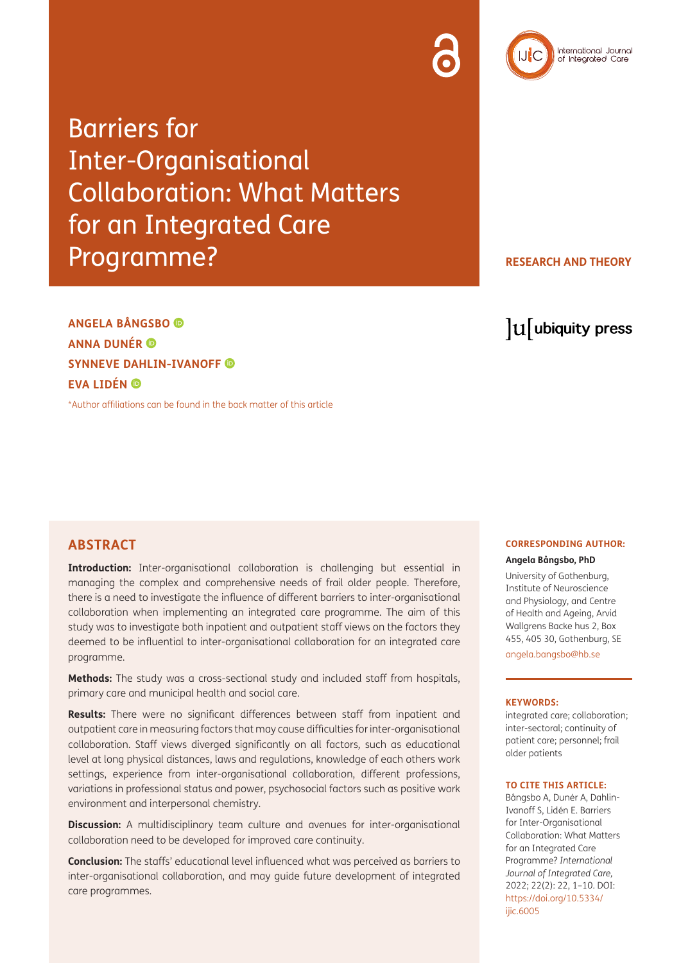

**RESEARCH AND THEORY**

International Journal<br>of Integrated Care

**ANGELA BÅNGSBO ANNA DUNÉR SYNNEVE DAHLIN-IVANOFF EVA LIDÉN** 

[\\*Author affiliations can be found in the back matter of this article](#page-7-0)

lu ubiquity press

#### **ABSTRACT**

**Introduction:** Inter-organisational collaboration is challenging but essential in managing the complex and comprehensive needs of frail older people. Therefore, there is a need to investigate the influence of different barriers to inter-organisational collaboration when implementing an integrated care programme. The aim of this study was to investigate both inpatient and outpatient staff views on the factors they deemed to be influential to inter-organisational collaboration for an integrated care programme.

**Methods:** The study was a cross-sectional study and included staff from hospitals, primary care and municipal health and social care.

**Results:** There were no significant differences between staff from inpatient and outpatient care in measuring factors that may cause difficulties for inter-organisational collaboration. Staff views diverged significantly on all factors, such as educational level at long physical distances, laws and regulations, knowledge of each others work settings, experience from inter-organisational collaboration, different professions, variations in professional status and power, psychosocial factors such as positive work environment and interpersonal chemistry.

**Discussion:** A multidisciplinary team culture and avenues for inter-organisational collaboration need to be developed for improved care continuity.

**Conclusion:** The staffs' educational level influenced what was perceived as barriers to inter-organisational collaboration, and may guide future development of integrated care programmes.

## **CORRESPONDING AUTHOR:**

#### **Angela Bångsbo, PhD**

University of Gothenburg, Institute of Neuroscience and Physiology, and Centre of Health and Ageing, Arvid Wallgrens Backe hus 2, Box 455, 405 30, Gothenburg, SE [angela.bangsbo@hb.se](mailto:angela.bangsbo@hb.se.)

#### **KEYWORDS:**

integrated care; collaboration; inter-sectoral; continuity of patient care; personnel; frail older patients

#### **TO CITE THIS ARTICLE:**

Bångsbo A, Dunér A, Dahlin-Ivanoff S, Lidén E. Barriers for Inter-Organisational Collaboration: What Matters for an Integrated Care Programme? *International Journal of Integrated Care,* 2022; 22(2): 22, 1–10. DOI: [https://doi.org/10.5334/](https://doi.org/10.5334/ijic.6005) [ijic.6005](https://doi.org/10.5334/ijic.6005)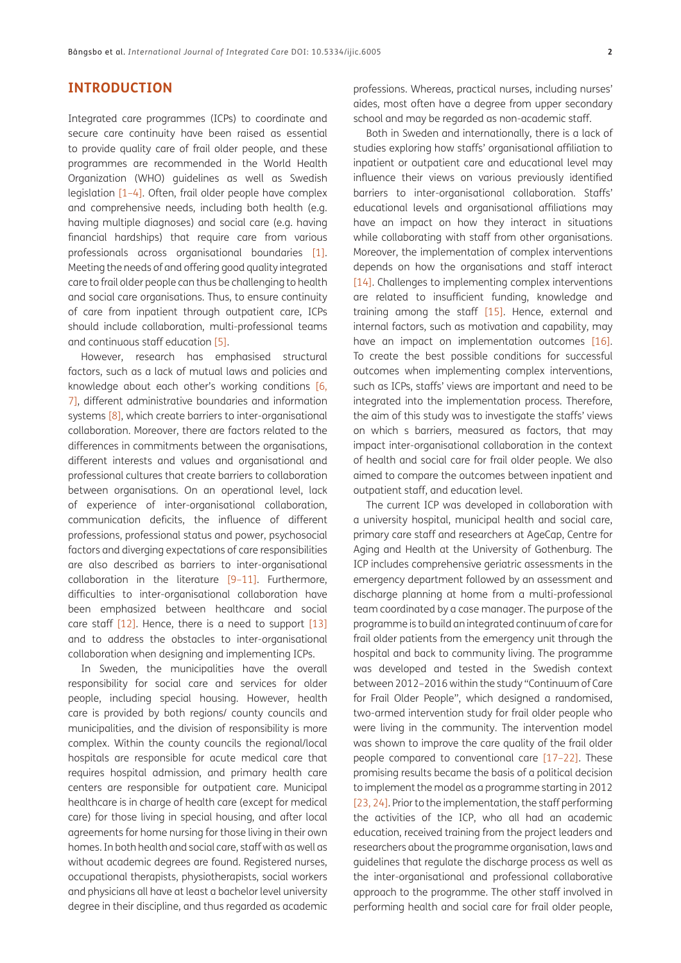## **INTRODUCTION**

Integrated care programmes (ICPs) to coordinate and secure care continuity have been raised as essential to provide quality care of frail older people, and these programmes are recommended in the World Health Organization (WHO) guidelines as well as Swedish legislation [[1](#page-7-1)[–4](#page-7-2)]. Often, frail older people have complex and comprehensive needs, including both health (e.g. having multiple diagnoses) and social care (e.g. having financial hardships) that require care from various professionals across organisational boundaries [\[1\]](#page-7-1). Meeting the needs of and offering good quality integrated care to frail older people can thus be challenging to health and social care organisations. Thus, to ensure continuity of care from inpatient through outpatient care, ICPs should include collaboration, multi-professional teams and continuous staff education [\[5\]](#page-7-3).

However, research has emphasised structural factors, such as a lack of mutual laws and policies and knowledge about each other's working conditions [[6](#page-7-4), 7], different administrative boundaries and information systems [\[8\],](#page-7-5) which create barriers to inter-organisational collaboration. Moreover, there are factors related to the differences in commitments between the organisations, different interests and values and organisational and professional cultures that create barriers to collaboration between organisations. On an operational level, lack of experience of inter-organisational collaboration, communication deficits, the influence of different professions, professional status and power, psychosocial factors and diverging expectations of care responsibilities are also described as barriers to inter-organisational collaboration in the literature  $[9-11]$  $[9-11]$  $[9-11]$ . Furthermore, difficulties to inter-organisational collaboration have been emphasized between healthcare and social care staff [\[12\].](#page-7-8) Hence, there is a need to support [13] and to address the obstacles to inter-organisational collaboration when designing and implementing ICPs.

In Sweden, the municipalities have the overall responsibility for social care and services for older people, including special housing. However, health care is provided by both regions/ county councils and municipalities, and the division of responsibility is more complex. Within the county councils the regional/local hospitals are responsible for acute medical care that requires hospital admission, and primary health care centers are responsible for outpatient care. Municipal healthcare is in charge of health care (except for medical care) for those living in special housing, and after local agreements for home nursing for those living in their own homes. In both health and social care, staff with as well as without academic degrees are found. Registered nurses, occupational therapists, physiotherapists, social workers and physicians all have at least a bachelor level university degree in their discipline, and thus regarded as academic professions. Whereas, practical nurses, including nurses' aides, most often have a degree from upper secondary school and may be regarded as non-academic staff.

Both in Sweden and internationally, there is a lack of studies exploring how staffs' organisational affiliation to inpatient or outpatient care and educational level may influence their views on various previously identified barriers to inter-organisational collaboration. Staffs' educational levels and organisational affiliations may have an impact on how they interact in situations while collaborating with staff from other organisations. Moreover, the implementation of complex interventions depends on how the organisations and staff interact [\[14\]](#page-7-9). Challenges to implementing complex interventions are related to insufficient funding, knowledge and training among the staff [\[15\].](#page-7-10) Hence, external and internal factors, such as motivation and capability, may have an impact on implementation outcomes [\[16\].](#page-7-11) To create the best possible conditions for successful outcomes when implementing complex interventions, such as ICPs, staffs' views are important and need to be integrated into the implementation process. Therefore, the aim of this study was to investigate the staffs' views on which s barriers, measured as factors, that may impact inter-organisational collaboration in the context of health and social care for frail older people. We also aimed to compare the outcomes between inpatient and outpatient staff, and education level.

The current ICP was developed in collaboration with a university hospital, municipal health and social care, primary care staff and researchers at AgeCap, Centre for Aging and Health at the University of Gothenburg. The ICP includes comprehensive geriatric assessments in the emergency department followed by an assessment and discharge planning at home from a multi-professional team coordinated by a case manager. The purpose of the programme is to build an integrated continuum of care for frail older patients from the emergency unit through the hospital and back to community living. The programme was developed and tested in the Swedish context between 2012–2016 within the study "Continuum of Care for Frail Older People", which designed a randomised, two-armed intervention study for frail older people who were living in the community. The intervention model was shown to improve the care quality of the frail older people compared to conventional care [17–[22\]](#page-8-0). These promising results became the basis of a political decision to implement the model as a programme starting in 2012 [23, 24]. Prior to the implementation, the staff performing the activities of the ICP, who all had an academic education, received training from the project leaders and researchers about the programme organisation, laws and guidelines that regulate the discharge process as well as the inter-organisational and professional collaborative approach to the programme. The other staff involved in performing health and social care for frail older people,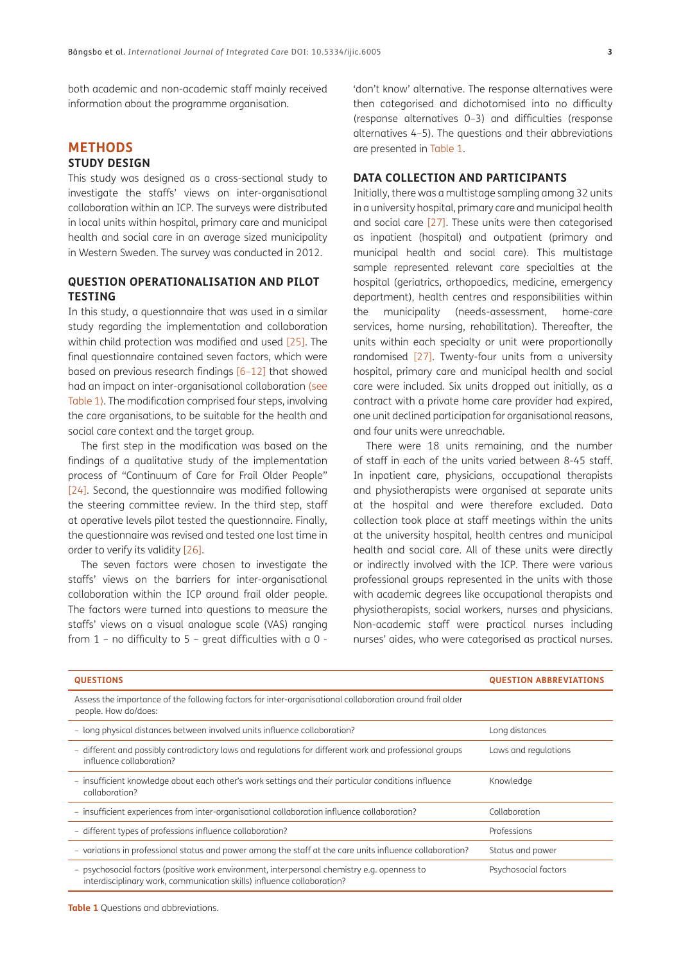both academic and non-academic staff mainly received information about the programme organisation.

## **METHODS**

#### **STUDY DESIGN**

This study was designed as a cross-sectional study to investigate the staffs' views on inter-organisational collaboration within an ICP. The surveys were distributed in local units within hospital, primary care and municipal health and social care in an average sized municipality in Western Sweden. The survey was conducted in 2012.

#### **QUESTION OPERATIONALISATION AND PILOT TESTING**

In this study, a questionnaire that was used in a similar study regarding the implementation and collaboration within child protection was modified and used [\[25\].](#page-8-1) The final questionnaire contained seven factors, which were based on previous research findings [[6](#page-7-4)[–12\]](#page-7-8) that showed had an impact on inter-organisational collaboration [\(see](#page-2-0) [Table 1\).](#page-2-0) The modification comprised four steps, involving the care organisations, to be suitable for the health and social care context and the target group.

The first step in the modification was based on the findings of a qualitative study of the implementation process of "Continuum of Care for Frail Older People" [24]. Second, the questionnaire was modified following the steering committee review. In the third step, staff at operative levels pilot tested the questionnaire. Finally, the questionnaire was revised and tested one last time in order to verify its validity [\[26\]](#page-8-2).

The seven factors were chosen to investigate the staffs' views on the barriers for inter-organisational collaboration within the ICP around frail older people. The factors were turned into questions to measure the staffs' views on a visual analogue scale (VAS) ranging from 1 – no difficulty to 5 – great difficulties with a 0 -

'don't know' alternative. The response alternatives were then categorised and dichotomised into no difficulty (response alternatives 0–3) and difficulties (response alternatives 4–5). The questions and their abbreviations are presented in [Table 1.](#page-2-0)

#### **DATA COLLECTION AND PARTICIPANTS**

Initially, there was a multistage sampling among 32 units in a university hospital, primary care and municipal health and social care [\[27\].](#page-8-3) These units were then categorised as inpatient (hospital) and outpatient (primary and municipal health and social care). This multistage sample represented relevant care specialties at the hospital (geriatrics, orthopaedics, medicine, emergency department), health centres and responsibilities within the municipality (needs-assessment, home-care services, home nursing, rehabilitation). Thereafter, the units within each specialty or unit were proportionally randomised [\[27\].](#page-8-3) Twenty-four units from a university hospital, primary care and municipal health and social care were included. Six units dropped out initially, as a contract with a private home care provider had expired, one unit declined participation for organisational reasons, and four units were unreachable.

There were 18 units remaining, and the number of staff in each of the units varied between 8-45 staff. In inpatient care, physicians, occupational therapists and physiotherapists were organised at separate units at the hospital and were therefore excluded. Data collection took place at staff meetings within the units at the university hospital, health centres and municipal health and social care. All of these units were directly or indirectly involved with the ICP. There were various professional groups represented in the units with those with academic degrees like occupational therapists and physiotherapists, social workers, nurses and physicians. Non-academic staff were practical nurses including nurses' aides, who were categorised as practical nurses.

| <b>QUESTIONS</b>                                                                                                                                                      | <b>QUESTION ABBREVIATIONS</b> |
|-----------------------------------------------------------------------------------------------------------------------------------------------------------------------|-------------------------------|
| Assess the importance of the following factors for inter-organisational collaboration around frail older<br>people. How do/does:                                      |                               |
| - long physical distances between involved units influence collaboration?                                                                                             | Long distances                |
| - different and possibly contradictory laws and regulations for different work and professional groups<br>influence collaboration?                                    | Laws and regulations          |
| - insufficient knowledge about each other's work settings and their particular conditions influence<br>collaboration?                                                 | Knowledge                     |
| - insufficient experiences from inter-organisational collaboration influence collaboration?                                                                           | Collaboration                 |
| - different types of professions influence collaboration?                                                                                                             | Professions                   |
| - variations in professional status and power among the staff at the care units influence collaboration?                                                              | Status and power              |
| - psychosocial factors (positive work environment, interpersonal chemistry e.g. openness to<br>interdisciplinary work, communication skills) influence collaboration? | Psychosocial factors          |

<span id="page-2-0"></span>**Table 1** Questions and abbreviations.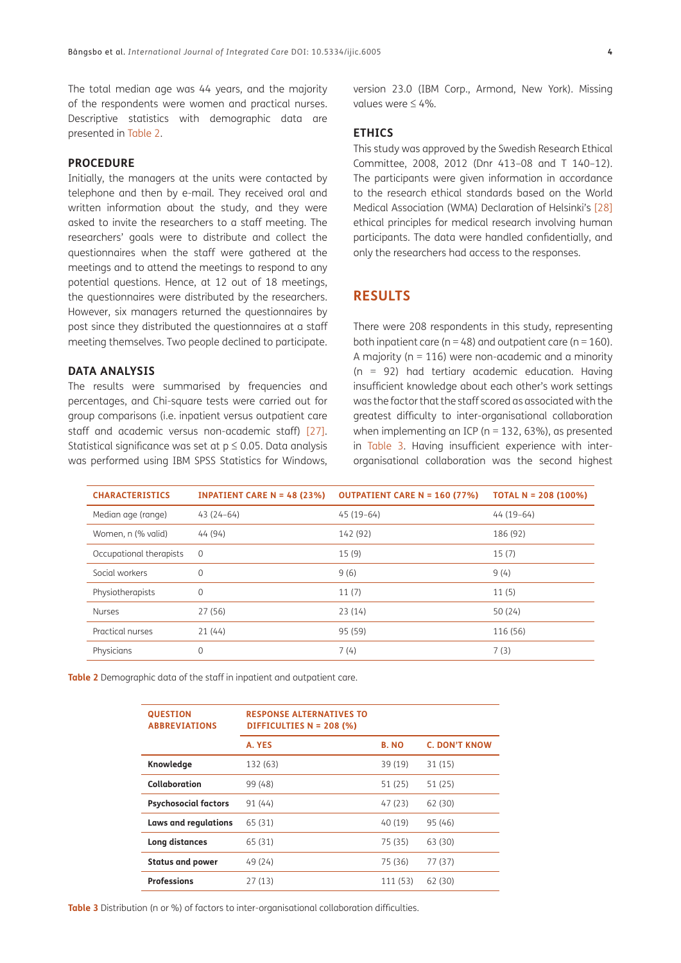The total median age was 44 years, and the majority of the respondents were women and practical nurses. Descriptive statistics with demographic data are presented in [Table 2](#page-3-0).

#### **PROCEDURE**

Initially, the managers at the units were contacted by telephone and then by e-mail. They received oral and written information about the study, and they were asked to invite the researchers to a staff meeting. The researchers' goals were to distribute and collect the questionnaires when the staff were gathered at the meetings and to attend the meetings to respond to any potential questions. Hence, at 12 out of 18 meetings, the questionnaires were distributed by the researchers. However, six managers returned the questionnaires by post since they distributed the questionnaires at a staff meeting themselves. Two people declined to participate.

#### **DATA ANALYSIS**

The results were summarised by frequencies and percentages, and Chi-square tests were carried out for group comparisons (i.e. inpatient versus outpatient care staff and academic versus non-academic staff) [\[27\]](#page-8-3). Statistical significance was set at  $p \leq 0.05$ . Data analysis was performed using IBM SPSS Statistics for Windows, version 23.0 (IBM Corp., Armond, New York). Missing values were ≤ 4%.

#### **ETHICS**

This study was approved by the Swedish Research Ethical Committee, 2008, 2012 (Dnr 413–08 and T 140–12). The participants were given information in accordance to the research ethical standards based on the World Medical Association (WMA) Declaration of Helsinki's [\[28\]](#page-8-4) ethical principles for medical research involving human participants. The data were handled confidentially, and only the researchers had access to the responses.

## **RESULTS**

There were 208 respondents in this study, representing both inpatient care ( $n = 48$ ) and outpatient care ( $n = 160$ ). A majority ( $n = 116$ ) were non-academic and a minority (n = 92) had tertiary academic education. Having insufficient knowledge about each other's work settings was the factor that the staff scored as associated with the greatest difficulty to inter-organisational collaboration when implementing an ICP ( $n = 132, 63\%$ ), as presented in [Table 3.](#page-3-1) Having insufficient experience with interorganisational collaboration was the second highest

| <b>CHARACTERISTICS</b>  | <b>INPATIENT CARE N = 48 (23%)</b> | <b>OUTPATIENT CARE N = 160 (77%)</b> | TOTAL N = $208(100%)$ |
|-------------------------|------------------------------------|--------------------------------------|-----------------------|
| Median age (range)      | $43(24-64)$                        | $45(19-64)$                          | $44(19-64)$           |
| Women, n (% valid)      | 44 (94)                            | 142 (92)                             | 186 (92)              |
| Occupational therapists | $\mathbf 0$                        | 15(9)                                | 15(7)                 |
| Social workers          | $\mathbf 0$                        | 9(6)                                 | 9(4)                  |
| Physiotherapists        | $\mathbf 0$                        | 11(7)                                | 11(5)                 |
| <b>Nurses</b>           | 27(56)                             | 23(14)                               | 50 (24)               |
| Practical nurses        | 21(44)                             | 95 (59)                              | 116 (56)              |
| Physicians              | $\mathbf{0}$                       | 7(4)                                 | 7(3)                  |

<span id="page-3-0"></span>**Table 2** Demographic data of the staff in inpatient and outpatient care.

<span id="page-3-1"></span>

| <b>QUESTION</b><br><b>ABBREVIATIONS</b> | <b>RESPONSE ALTERNATIVES TO</b><br>DIFFICULTIES $N = 208$ (%) |              |                      |
|-----------------------------------------|---------------------------------------------------------------|--------------|----------------------|
|                                         | A. YES                                                        | <b>B. NO</b> | <b>C. DON'T KNOW</b> |
| Knowledge                               | 132 (63)                                                      | 39 (19)      | 31 (15)              |
| Collaboration                           | 99 (48)                                                       | 51 (25)      | 51 (25)              |
| <b>Psychosocial factors</b>             | 91 (44)                                                       | 47 (23)      | 62 (30)              |
| Laws and regulations                    | 65 (31)                                                       | 40 (19)      | 95(46)               |
| Long distances                          | 65 (31)                                                       | 75 (35)      | 63 (30)              |
| <b>Status and power</b>                 | 49(24)                                                        | 75 (36)      | 77 (37)              |
| <b>Professions</b>                      | 27(13)                                                        | 111 (53)     | 62 (30)              |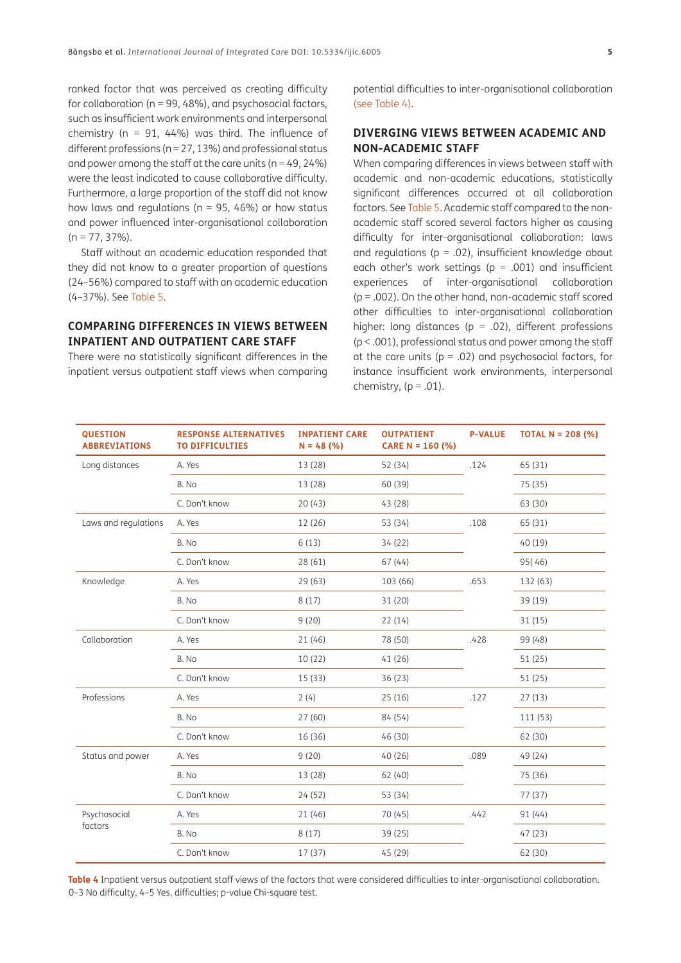ranked factor that was perceived as creating difficulty for collaboration ( $n = 99, 48\%$ ), and psychosocial factors, such as insufficient work environments and interpersonal chemistry ( $n = 91, 44\%$ ) was third. The influence of different professions ( $n = 27, 13\%$ ) and professional status and power among the staff at the care units ( $n = 49, 24\%$ ) were the least indicated to cause collaborative difficulty. Furthermore, a large proportion of the staff did not know how laws and regulations ( $n = 95$ , 46%) or how status and power influenced inter-organisational collaboration  $(n = 77, 37\%)$ .

Staff without an academic education responded that they did not know to a greater proportion of questions (24–56%) compared to staff with an academic education (4–37%). See [Table 5](#page-5-0).

#### **COMPARING DIFFERENCES IN VIEWS BETWEEN INPATIENT AND OUTPATIENT CARE STAFF**

There were no statistically significant differences in the inpatient versus outpatient staff views when comparing potential difficulties to inter-organisational collaboration [\(see Table 4\)](#page-4-0).

#### **DIVERGING VIEWS BETWEEN ACADEMIC AND NON-ACADEMIC STAFF**

When comparing differences in views between staff with academic and non-academic educations, statistically significant differences occurred at all collaboration factors. See [Table 5.](#page-5-0) Academic staff compared to the nonacademic staff scored several factors higher as causing difficulty for inter-organisational collaboration: laws and regulations ( $p = .02$ ), insufficient knowledge about each other's work settings ( $p = .001$ ) and insufficient experiences of inter-organisational collaboration  $(p = .002)$ . On the other hand, non-academic staff scored other difficulties to inter-organisational collaboration higher: long distances ( $p = .02$ ), different professions (p < .001), professional status and power among the staff at the care units ( $p = .02$ ) and psychosocial factors, for instance insufficient work environments, interpersonal chemistry,  $(p = .01)$ .

| <b>QUESTION</b><br><b>ABBREVIATIONS</b> | <b>RESPONSE ALTERNATIVES</b><br><b>TO DIFFICULTIES</b> | <b>INPATIENT CARE</b><br>$N = 48$ (%) | <b>OUTPATIENT</b><br>CARE N = 160 $(% )$ | <b>P-VALUE</b> | <b>TOTAL N = 208 (%)</b> |
|-----------------------------------------|--------------------------------------------------------|---------------------------------------|------------------------------------------|----------------|--------------------------|
| Long distances                          | A. Yes                                                 | 13 (28)                               | 52 (34)                                  | .124           | 65 (31)                  |
|                                         | B. No                                                  | 13 (28)                               | 60 (39)                                  |                | 75 (35)                  |
|                                         | C. Don't know                                          | 20(43)                                | 43 (28)                                  |                | 63 (30)                  |
| Laws and regulations                    | A. Yes                                                 | 12 (26)                               | 53 (34)                                  | .108           | 65 (31)                  |
|                                         | B. No                                                  | 6(13)                                 | 34(22)                                   |                | 40 (19)                  |
|                                         | C. Don't know                                          | 28(61)                                | 67(44)                                   |                | 95(46)                   |
| Knowledge                               | A. Yes                                                 | 29(63)                                | 103 (66)                                 | .653           | 132 (63)                 |
|                                         | B. No                                                  | 8(17)                                 | 31 (20)                                  |                | 39 (19)                  |
|                                         | C. Don't know                                          | 9(20)                                 | 22(14)                                   |                | 31(15)                   |
| Collaboration                           | A. Yes                                                 | 21 (46)                               | 78 (50)                                  | .428           | 99 (48)                  |
|                                         | B. No                                                  | 10(22)                                | 41(26)                                   |                | 51 (25)                  |
|                                         | C. Don't know                                          | 15(33)                                | 36 (23)                                  |                | 51(25)                   |
| Professions                             | A. Yes                                                 | 2(4)                                  | 25(16)                                   | .127           | 27(13)                   |
|                                         | B. No                                                  | 27(60)                                | 84 (54)                                  |                | 111 (53)                 |
|                                         | C. Don't know                                          | 16 (36)                               | 46 (30)                                  |                | 62 (30)                  |
| Status and power                        | A. Yes                                                 | 9(20)                                 | 40(26)                                   | .089           | 49 (24)                  |
|                                         | B. No                                                  | 13 (28)                               | 62 (40)                                  |                | 75 (36)                  |
|                                         | C. Don't know                                          | 24(52)                                | 53 (34)                                  |                | 77(37)                   |
| Psychosocial<br>factors                 | A. Yes                                                 | 21 (46)                               | 70 (45)                                  | .442           | 91(44)                   |
|                                         | B. No                                                  | 8(17)                                 | 39(25)                                   |                | 47(23)                   |
|                                         | C. Don't know                                          | 17 (37)                               | 45 (29)                                  |                | 62 (30)                  |

<span id="page-4-0"></span>**Table 4** Inpatient versus outpatient staff views of the factors that were considered difficulties to inter-organisational collaboration. 0–3 No difficulty, 4–5 Yes, difficulties; p-value Chi-square test.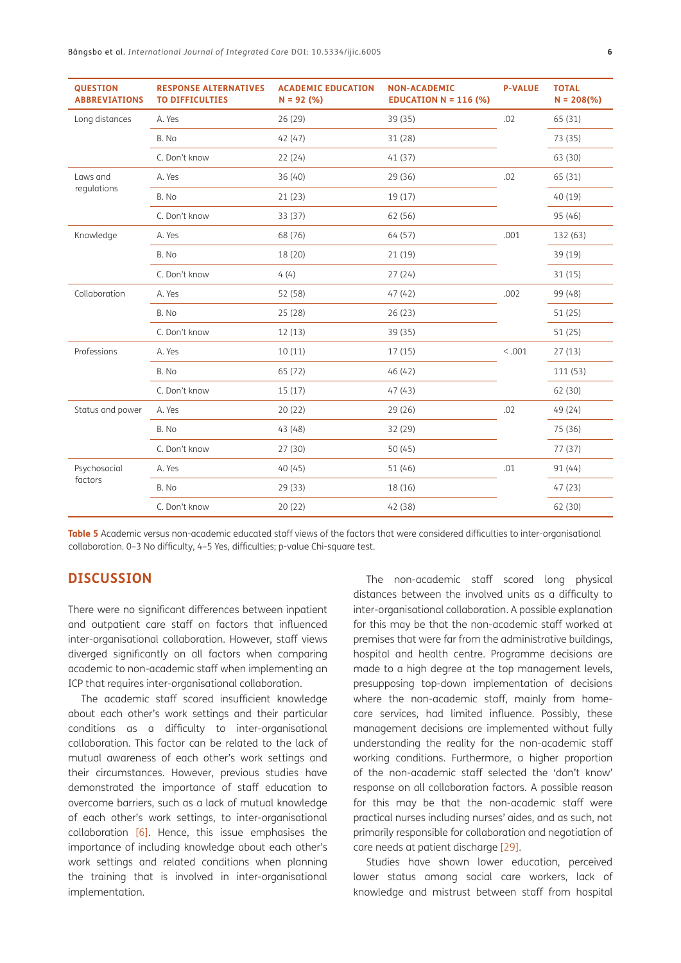| <b>QUESTION</b><br><b>ABBREVIATIONS</b> | <b>RESPONSE ALTERNATIVES</b><br><b>TO DIFFICULTIES</b> | <b>ACADEMIC EDUCATION</b><br>$N = 92(%)$ | <b>NON-ACADEMIC</b><br><b>EDUCATION N = 116 (%)</b> | <b>P-VALUE</b> | <b>TOTAL</b><br>$N = 208(% )$ |
|-----------------------------------------|--------------------------------------------------------|------------------------------------------|-----------------------------------------------------|----------------|-------------------------------|
| Long distances                          | A. Yes                                                 | 26 (29)                                  | 39 (35)                                             | .02            | 65 (31)                       |
|                                         | B. No                                                  | 42(47)                                   | 31 (28)                                             |                | 73 (35)                       |
|                                         | C. Don't know                                          | 22(24)                                   | 41(37)                                              |                | 63 (30)                       |
| Laws and<br>regulations                 | A. Yes                                                 | 36 (40)                                  | 29 (36)                                             | .02            | 65 (31)                       |
|                                         | B. No                                                  | 21(23)                                   | 19(17)                                              |                | 40 (19)                       |
|                                         | C. Don't know                                          | 33 (37)                                  | 62 (56)                                             |                | 95 (46)                       |
| Knowledge                               | A. Yes                                                 | 68 (76)                                  | 64 (57)                                             | .001           | 132 (63)                      |
|                                         | B. No                                                  | 18 (20)                                  | 21(19)                                              |                | 39 (19)                       |
|                                         | C. Don't know                                          | 4(4)                                     | 27(24)                                              |                | 31(15)                        |
| Collaboration                           | A. Yes                                                 | 52 (58)                                  | 47(42)                                              | .002           | 99 (48)                       |
|                                         | B. No                                                  | 25(28)                                   | 26(23)                                              |                | 51(25)                        |
|                                         | C. Don't know                                          | 12(13)                                   | 39 (35)                                             |                | 51(25)                        |
| Professions                             | A. Yes                                                 | 10(11)                                   | 17(15)                                              | < 0.001        | 27(13)                        |
|                                         | B. No                                                  | 65 (72)                                  | 46(42)                                              |                | 111 (53)                      |
|                                         | C. Don't know                                          | 15(17)                                   | 47(43)                                              |                | 62 (30)                       |
| Status and power                        | A. Yes                                                 | 20(22)                                   | 29 (26)                                             | .02            | 49 (24)                       |
|                                         | B. No                                                  | 43 (48)                                  | 32 (29)                                             |                | 75 (36)                       |
|                                         | C. Don't know                                          | 27(30)                                   | 50(45)                                              |                | 77(37)                        |
| Psychosocial<br>factors                 | A. Yes                                                 | 40 (45)                                  | 51 (46)                                             | .01            | 91(44)                        |
|                                         | B. No                                                  | 29 (33)                                  | 18 (16)                                             |                | 47(23)                        |
|                                         | C. Don't know                                          | 20(22)                                   | 42 (38)                                             |                | 62 (30)                       |

<span id="page-5-0"></span>**Table 5** Academic versus non-academic educated staff views of the factors that were considered difficulties to inter-organisational collaboration. 0–3 No difficulty, 4–5 Yes, difficulties; p-value Chi-square test.

## **DISCUSSION**

There were no significant differences between inpatient and outpatient care staff on factors that influenced inter-organisational collaboration. However, staff views diverged significantly on all factors when comparing academic to non-academic staff when implementing an ICP that requires inter-organisational collaboration.

The academic staff scored insufficient knowledge about each other's work settings and their particular conditions as a difficulty to inter-organisational collaboration. This factor can be related to the lack of mutual awareness of each other's work settings and their circumstances. However, previous studies have demonstrated the importance of staff education to overcome barriers, such as a lack of mutual knowledge of each other's work settings, to inter-organisational collaboration  $[6]$ . Hence, this issue emphasises the importance of including knowledge about each other's work settings and related conditions when planning the training that is involved in inter-organisational implementation.

The non-academic staff scored long physical distances between the involved units as a difficulty to inter-organisational collaboration. A possible explanation for this may be that the non-academic staff worked at premises that were far from the administrative buildings, hospital and health centre. Programme decisions are made to a high degree at the top management levels, presupposing top-down implementation of decisions where the non-academic staff, mainly from homecare services, had limited influence. Possibly, these management decisions are implemented without fully understanding the reality for the non-academic staff working conditions. Furthermore, a higher proportion of the non-academic staff selected the 'don't know' response on all collaboration factors. A possible reason for this may be that the non-academic staff were practical nurses including nurses' aides, and as such, not primarily responsible for collaboration and negotiation of care needs at patient discharge [\[29\].](#page-8-5)

Studies have shown lower education, perceived lower status among social care workers, lack of knowledge and mistrust between staff from hospital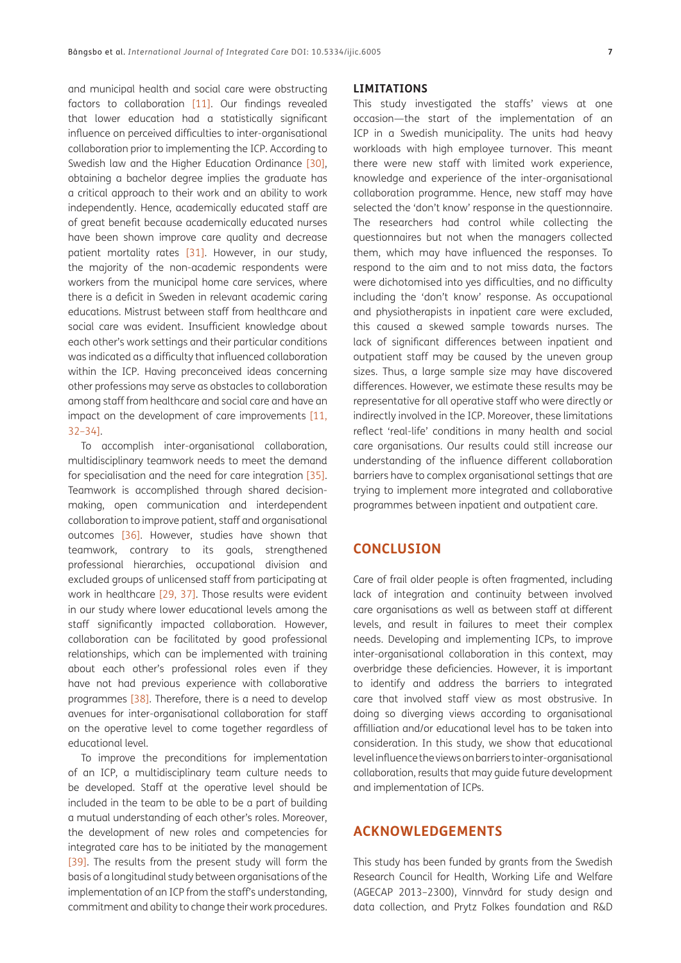and municipal health and social care were obstructing factors to collaboration [\[11\]](#page-7-7). Our findings revealed that lower education had a statistically significant influence on perceived difficulties to inter-organisational collaboration prior to implementing the ICP. According to Swedish law and the Higher Education Ordinance [\[30\]](#page-8-6), obtaining a bachelor degree implies the graduate has a critical approach to their work and an ability to work independently. Hence, academically educated staff are of great benefit because academically educated nurses have been shown improve care quality and decrease patient mortality rates [\[31\].](#page-8-7) However, in our study, the majority of the non-academic respondents were workers from the municipal home care services, where there is a deficit in Sweden in relevant academic caring educations. Mistrust between staff from healthcare and social care was evident. Insufficient knowledge about each other's work settings and their particular conditions was indicated as a difficulty that influenced collaboration within the ICP. Having preconceived ideas concerning other professions may serve as obstacles to collaboration among staff from healthcare and social care and have an impact on the development of care improvements [[11](#page-7-7), [32](#page-8-8)–34].

To accomplish inter-organisational collaboration, multidisciplinary teamwork needs to meet the demand for specialisation and the need for care integration [\[35\]](#page-8-9). Teamwork is accomplished through shared decisionmaking, open communication and interdependent collaboration to improve patient, staff and organisational outcomes [\[36\].](#page-8-10) However, studies have shown that teamwork, contrary to its goals, strengthened professional hierarchies, occupational division and excluded groups of unlicensed staff from participating at work in healthcare [\[29](#page-8-5), [37\]](#page-8-11). Those results were evident in our study where lower educational levels among the staff significantly impacted collaboration. However, collaboration can be facilitated by good professional relationships, which can be implemented with training about each other's professional roles even if they have not had previous experience with collaborative programmes [\[38\]](#page-8-12). Therefore, there is a need to develop avenues for inter-organisational collaboration for staff on the operative level to come together regardless of educational level.

To improve the preconditions for implementation of an ICP, a multidisciplinary team culture needs to be developed. Staff at the operative level should be included in the team to be able to be a part of building a mutual understanding of each other's roles. Moreover, the development of new roles and competencies for integrated care has to be initiated by the management [39]. The results from the present study will form the basis of a longitudinal study between organisations of the implementation of an ICP from the staff's understanding, commitment and ability to change their work procedures.

#### **LIMITATIONS**

This study investigated the staffs' views at one occasion—the start of the implementation of an ICP in a Swedish municipality. The units had heavy workloads with high employee turnover. This meant there were new staff with limited work experience, knowledge and experience of the inter-organisational collaboration programme. Hence, new staff may have selected the 'don't know' response in the questionnaire. The researchers had control while collecting the questionnaires but not when the managers collected them, which may have influenced the responses. To respond to the aim and to not miss data, the factors were dichotomised into yes difficulties, and no difficulty including the 'don't know' response. As occupational and physiotherapists in inpatient care were excluded, this caused a skewed sample towards nurses. The lack of significant differences between inpatient and outpatient staff may be caused by the uneven group sizes. Thus, a large sample size may have discovered differences. However, we estimate these results may be representative for all operative staff who were directly or indirectly involved in the ICP. Moreover, these limitations reflect 'real-life' conditions in many health and social care organisations. Our results could still increase our understanding of the influence different collaboration barriers have to complex organisational settings that are trying to implement more integrated and collaborative programmes between inpatient and outpatient care.

## **CONCLUSION**

Care of frail older people is often fragmented, including lack of integration and continuity between involved care organisations as well as between staff at different levels, and result in failures to meet their complex needs. Developing and implementing ICPs, to improve inter-organisational collaboration in this context, may overbridge these deficiencies. However, it is important to identify and address the barriers to integrated care that involved staff view as most obstrusive. In doing so diverging views according to organisational affilliation and/or educational level has to be taken into consideration. In this study, we show that educational level influence the views on barriers to inter-organisational collaboration, results that may guide future development and implementation of ICPs.

# **ACKNOWLEDGEMENTS**

This study has been funded by grants from the Swedish Research Council for Health, Working Life and Welfare (AGECAP 2013–2300), Vinnvård for study design and data collection, and Prytz Folkes foundation and R&D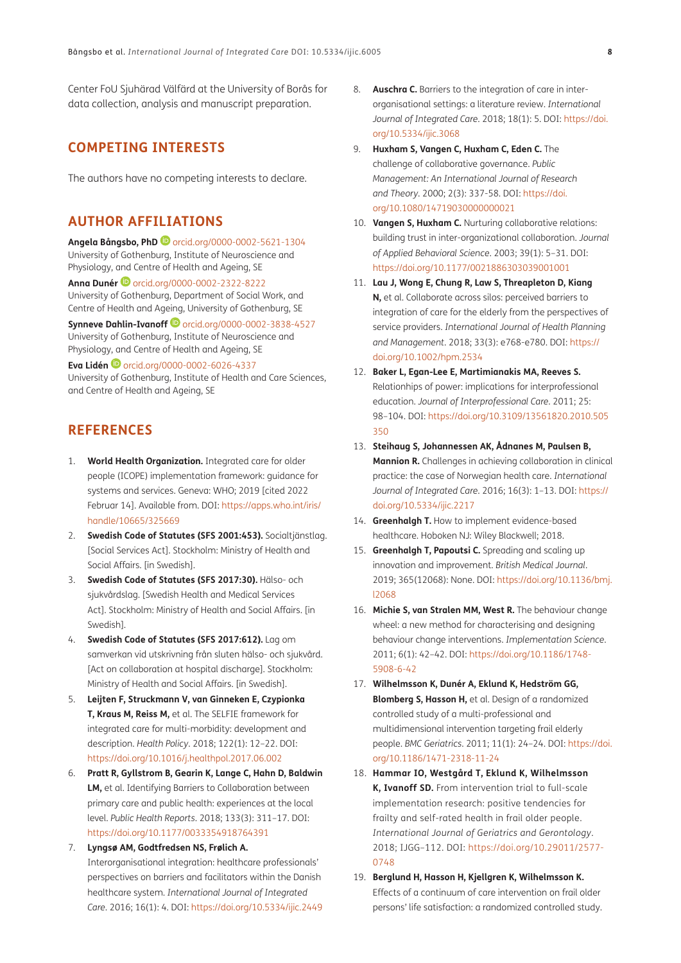Center FoU Sjuhärad Välfärd at the University of Borås for data collection, analysis and manuscript preparation.

# **COMPETING INTERESTS**

The authors have no competing interests to declare.

# <span id="page-7-0"></span>**AUTHOR AFFILIATIONS**

**Angela Bångsbo, PhD**[orcid.org/0000-0002-5621-1304](https://orcid.org/0000-0002-5621-1304) University of Gothenburg, Institute of Neuroscience and Physiology, and Centre of Health and Ageing, SE

**Anna Dunér**[orcid.org/0000-0002-2322-8222](https://orcid.org/0000-0002-2322-8222) University of Gothenburg, Department of Social Work, and Centre of Health and Ageing, University of Gothenburg, SE

**Synneve Dahlin-Ivanoff D** [orcid.org/0000-0002-3838-4527](https://orcid.org/0000-0002-3838-4527) University of Gothenburg, Institute of Neuroscience and Physiology, and Centre of Health and Ageing, SE

**Eva Lidén <sup>1</sup>** [orcid.org/0000-0002-6026-4337](https://orcid.org/0000-0002-6026-4337) University of Gothenburg, Institute of Health and Care Sciences, and Centre of Health and Ageing, SE

# **REFERENCES**

- <span id="page-7-1"></span>1. **World Health Organization.** Integrated care for older people (ICOPE) implementation framework: guidance for systems and services. Geneva: WHO; 2019 [cited 2022 Februar 14]. Available from. DOI: [https://apps.who.int/iris/](https://apps.who.int/iris/handle/10665/325669) [handle/10665/325669](https://apps.who.int/iris/handle/10665/325669)
- 2. **Swedish Code of Statutes (SFS 2001:453).** Socialtjänstlag. [Social Services Act]. Stockholm: Ministry of Health and Social Affairs. [in Swedish].
- 3. **Swedish Code of Statutes (SFS 2017:30).** Hälso- och sjukvårdslag. [Swedish Health and Medical Services Act]. Stockholm: Ministry of Health and Social Affairs. [in Swedish].
- <span id="page-7-2"></span>4. **Swedish Code of Statutes (SFS 2017:612).** Lag om samverkan vid utskrivning från sluten hälso- och sjukvård. [Act on collaboration at hospital discharge]. Stockholm: Ministry of Health and Social Affairs. [in Swedish].
- <span id="page-7-3"></span>5. **Leijten F, Struckmann V, van Ginneken E, Czypionka T, Kraus M, Reiss M,** et al. The SELFIE framework for integrated care for multi-morbidity: development and description. *Health Policy*. 2018; 122(1): 12–22. DOI: <https://doi.org/10.1016/j.healthpol.2017.06.002>
- <span id="page-7-4"></span>6. **Pratt R, Gyllstrom B, Gearin K, Lange C, Hahn D, Baldwin LM,** et al. Identifying Barriers to Collaboration between primary care and public health: experiences at the local level. *Public Health Reports*. 2018; 133(3): 311–17. DOI: <https://doi.org/10.1177/0033354918764391>
- 7. **Lyngsø AM, Godtfredsen NS, Frølich A.** Interorganisational integration: healthcare professionals' perspectives on barriers and facilitators within the Danish healthcare system. *International Journal of Integrated Care*. 2016; 16(1): 4. DOI:<https://doi.org/10.5334/ijic.2449>
- <span id="page-7-5"></span>8. **Auschra C.** Barriers to the integration of care in interorganisational settings: a literature review. *International Journal of Integrated Care*. 2018; 18(1): 5. DOI: [https://doi.](https://doi.org/10.5334/ijic.3068) [org/10.5334/ijic.3068](https://doi.org/10.5334/ijic.3068)
- <span id="page-7-6"></span>9. **Huxham S, Vangen C, Huxham C, Eden C.** The challenge of collaborative governance. *Public Management: An International Journal of Research and Theory*. 2000; 2(3): 337-58. DOI: [https://doi.](https://doi.org/10.1080/14719030000000021) [org/10.1080/14719030000000021](https://doi.org/10.1080/14719030000000021)
- 10. **Vangen S, Huxham C.** Nurturing collaborative relations: building trust in inter-organizational collaboration. *Journal of Applied Behavioral Science*. 2003; 39(1): 5–31. DOI: <https://doi.org/10.1177/0021886303039001001>
- <span id="page-7-7"></span>11. **Lau J, Wong E, Chung R, Law S, Threapleton D, Kiang N,** et al. Collaborate across silos: perceived barriers to integration of care for the elderly from the perspectives of service providers. *International Journal of Health Planning and Management*. 2018; 33(3): e768-e780. DOI: [https://](https://doi.org/10.1002/hpm.2534) [doi.org/10.1002/hpm.2534](https://doi.org/10.1002/hpm.2534)
- <span id="page-7-8"></span>12. **Baker L, Egan-Lee E, Martimianakis MA, Reeves S.** Relationhips of power: implications for interprofessional education. *Journal of Interprofessional Care*. 2011; 25: 98–104. DOI: [https://doi.org/10.3109/13561820.2010.505](https://doi.org/10.3109/13561820.2010.505350) [350](https://doi.org/10.3109/13561820.2010.505350)
- 13. **Steihaug S, Johannessen AK, Ådnanes M, Paulsen B, Mannion R.** Challenges in achieving collaboration in clinical practice: the case of Norwegian health care. *International Journal of Integrated Care*. 2016; 16(3): 1–13. DOI: [https://](https://doi.org/10.5334/ijic.2217) [doi.org/10.5334/ijic.2217](https://doi.org/10.5334/ijic.2217)
- <span id="page-7-9"></span>14. **Greenhalgh T.** How to implement evidence-based healthcare. Hoboken NJ: Wiley Blackwell; 2018.
- <span id="page-7-10"></span>15. **Greenhalgh T, Papoutsi C.** Spreading and scaling up innovation and improvement. *British Medical Journal*. 2019; 365(12068): None. DOI: [https://doi.org/10.1136/bmj.](https://doi.org/10.1136/bmj.l2068) [l2068](https://doi.org/10.1136/bmj.l2068)
- <span id="page-7-11"></span>16. **Michie S, van Stralen MM, West R.** The behaviour change wheel: a new method for characterising and designing behaviour change interventions. *Implementation Science*. 2011; 6(1): 42–42. DOI: [https://doi.org/10.1186/1748-](https://doi.org/10.1186/1748-5908-6-42) [5908-6-42](https://doi.org/10.1186/1748-5908-6-42)
- 17. **Wilhelmsson K, Dunér A, Eklund K, Hedström GG, Blomberg S, Hasson H,** et al. Design of a randomized controlled study of a multi-professional and multidimensional intervention targeting frail elderly people. *BMC Geriatrics*. 2011; 11(1): 24–24. DOI: [https://doi.](https://doi.org/10.1186/1471-2318-11-24) [org/10.1186/1471-2318-11-24](https://doi.org/10.1186/1471-2318-11-24)
- 18. **Hammar IO, Westgård T, Eklund K, Wilhelmsson K, Ivanoff SD.** From intervention trial to full-scale implementation research: positive tendencies for frailty and self-rated health in frail older people. *International Journal of Geriatrics and Gerontology*. 2018; IJGG–112. DOI: [https://doi.org/10.29011/2577-](https://doi.org/10.29011/2577-0748) [0748](https://doi.org/10.29011/2577-0748)
- 19. **Berglund H, Hasson H, Kjellgren K, Wilhelmsson K.**  Effects of a continuum of care intervention on frail older persons' life satisfaction: a randomized controlled study.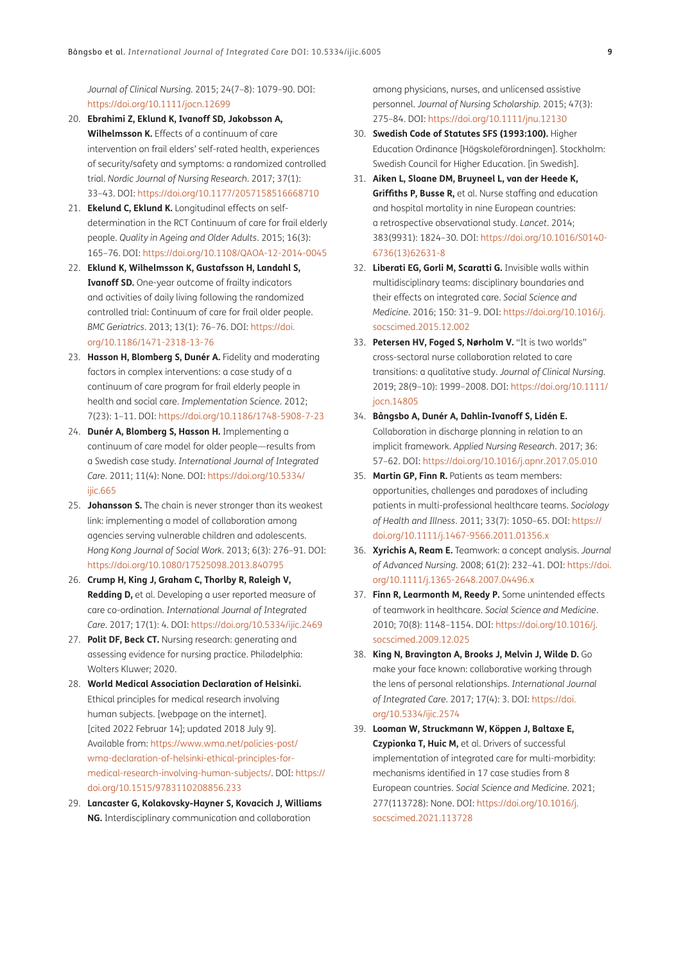*Journal of Clinical Nursing*. 2015; 24(7–8): 1079–90. DOI: <https://doi.org/10.1111/jocn.12699>

- 20. **Ebrahimi Z, Eklund K, Ivanoff SD, Jakobsson A, Wilhelmsson K.** Effects of a continuum of care intervention on frail elders' self-rated health, experiences of security/safety and symptoms: a randomized controlled trial. *Nordic Journal of Nursing Research*. 2017; 37(1): 33–43. DOI:<https://doi.org/10.1177/2057158516668710>
- 21. **Ekelund C, Eklund K.** Longitudinal effects on selfdetermination in the RCT Continuum of care for frail elderly people. *Quality in Ageing and Older Adults*. 2015; 16(3): 165–76. DOI: <https://doi.org/10.1108/QAOA-12-2014-0045>
- <span id="page-8-0"></span>22. **Eklund K, Wilhelmsson K, Gustafsson H, Landahl S, Ivanoff SD.** One-year outcome of frailty indicators and activities of daily living following the randomized controlled trial: Continuum of care for frail older people. *BMC Geriatrics*. 2013; 13(1): 76–76. DOI: [https://doi.](https://doi.org/10.1186/1471-2318-13-76) [org/10.1186/1471-2318-13-76](https://doi.org/10.1186/1471-2318-13-76)
- 23. **Hasson H, Blomberg S, Dunér A.** Fidelity and moderating factors in complex interventions: a case study of a continuum of care program for frail elderly people in health and social care. *Implementation Science*. 2012; 7(23): 1–11. DOI: <https://doi.org/10.1186/1748-5908-7-23>
- 24. **Dunér A, Blomberg S, Hasson H.** Implementing a continuum of care model for older people—results from a Swedish case study. *International Journal of Integrated Care*. 2011; 11(4): None. DOI: [https://doi.org/10.5334/](https://doi.org/10.5334/ijic.665) iiic.665
- <span id="page-8-1"></span>25. **Johansson S.** The chain is never stronger than its weakest link: implementing a model of collaboration among agencies serving vulnerable children and adolescents. *Hong Kong Journal of Social Work*. 2013; 6(3): 276–91. DOI: <https://doi.org/10.1080/17525098.2013.840795>
- <span id="page-8-2"></span>26. **Crump H, King J, Graham C, Thorlby R, Raleigh V, Redding D,** et al. Developing a user reported measure of care co-ordination. *International Journal of Integrated Care*. 2017; 17(1): 4. DOI:<https://doi.org/10.5334/ijic.2469>
- <span id="page-8-3"></span>27. **Polit DF, Beck CT.** Nursing research: generating and assessing evidence for nursing practice. Philadelphia: Wolters Kluwer; 2020.
- <span id="page-8-4"></span>28. **World Medical Association Declaration of Helsinki.** Ethical principles for medical research involving human subjects. [webpage on the internet]. [cited 2022 Februar 14]; updated 2018 July 9]. Available from: [https://www.wma.net/policies-post/](https://www.wma.net/policies-post/wma-declaration-of-helsinki-ethical-principles-for-medical-research-involving-human-subjects) [wma-declaration-of-helsinki-ethical-principles-for](https://www.wma.net/policies-post/wma-declaration-of-helsinki-ethical-principles-for-medical-research-involving-human-subjects)[medical-research-involving-human-subjects/](https://www.wma.net/policies-post/wma-declaration-of-helsinki-ethical-principles-for-medical-research-involving-human-subjects). DOI: [https://](https://doi.org/10.1515/9783110208856.233) [doi.org/10.1515/9783110208856.233](https://doi.org/10.1515/9783110208856.233)
- <span id="page-8-5"></span>29. **Lancaster G, Kolakovsky-Hayner S, Kovacich J, Williams NG.** Interdisciplinary communication and collaboration

among physicians, nurses, and unlicensed assistive personnel. *Journal of Nursing Scholarship*. 2015; 47(3): 275–84. DOI:<https://doi.org/10.1111/jnu.12130>

- <span id="page-8-6"></span>30. **Swedish Code of Statutes SFS (1993:100).** Higher Education Ordinance [Högskoleförordningen]. Stockholm: Swedish Council for Higher Education. [in Swedish].
- <span id="page-8-7"></span>31. **Aiken L, Sloane DM, Bruyneel L, van der Heede K, Griffiths P, Busse R,** et al. Nurse staffing and education and hospital mortality in nine European countries: a retrospective observational study. *Lancet*. 2014; 383(9931): 1824–30. DOI: [https://doi.org/10.1016/S0140-](https://doi.org/10.1016/S0140-6736(13)62631-8) [6736\(13\)62631-8](https://doi.org/10.1016/S0140-6736(13)62631-8)
- <span id="page-8-8"></span>32. **Liberati EG, Gorli M, Scaratti G.** Invisible walls within multidisciplinary teams: disciplinary boundaries and their effects on integrated care. *Social Science and Medicine*. 2016; 150: 31–9. DOI: [https://doi.org/10.1016/j.](https://doi.org/10.1016/j.socscimed.2015.12.002) [socscimed.2015.12.002](https://doi.org/10.1016/j.socscimed.2015.12.002)
- 33. **Petersen HV, Foged S, Nørholm V.** "It is two worlds" cross-sectoral nurse collaboration related to care transitions: a qualitative study. *Journal of Clinical Nursing*. 2019; 28(9–10): 1999–2008. DOI: [https://doi.org/10.1111/](https://doi.org/10.1111/jocn.14805) [jocn.14805](https://doi.org/10.1111/jocn.14805)
- 34. **Bångsbo A, Dunér A, Dahlin-Ivanoff S, Lidén E.** Collaboration in discharge planning in relation to an implicit framework. *Applied Nursing Research*. 2017; 36: 57–62. DOI: <https://doi.org/10.1016/j.apnr.2017.05.010>
- <span id="page-8-9"></span>35. **Martin GP, Finn R.** Patients as team members: opportunities, challenges and paradoxes of including patients in multi-professional healthcare teams. *Sociology of Health and Illness*. 2011; 33(7): 1050–65. DOI: [https://](https://doi.org/10.1111/j.1467-9566.2011.01356.x) [doi.org/10.1111/j.1467-9566.2011.01356.x](https://doi.org/10.1111/j.1467-9566.2011.01356.x)
- <span id="page-8-10"></span>36. **Xyrichis A, Ream E.** Teamwork: a concept analysis. *Journal of Advanced Nursing*. 2008; 61(2): 232–41. DOI: [https://doi.](https://doi.org/10.1111/j.1365-2648.2007.04496.x) [org/10.1111/j.1365-2648.2007.04496.x](https://doi.org/10.1111/j.1365-2648.2007.04496.x)
- <span id="page-8-11"></span>37. **Finn R, Learmonth M, Reedy P.** Some unintended effects of teamwork in healthcare. *Social Science and Medicine*. 2010; 70(8): 1148–1154. DOI: [https://doi.org/10.1016/j.](https://doi.org/10.1016/j.socscimed.2009.12.025) [socscimed.2009.12.025](https://doi.org/10.1016/j.socscimed.2009.12.025)
- <span id="page-8-12"></span>38. **King N, Bravington A, Brooks J, Melvin J, Wilde D.** Go make your face known: collaborative working through the lens of personal relationships. *International Journal of Integrated Care*. 2017; 17(4): 3. DOI: [https://doi.](https://doi.org/10.5334/ijic.2574) [org/10.5334/ijic.2574](https://doi.org/10.5334/ijic.2574)
- 39. **Looman W, Struckmann W, Köppen J, Baltaxe E, Czypionka T, Huic M,** et al. Drivers of successful implementation of integrated care for multi-morbidity: mechanisms identified in 17 case studies from 8 European countries. *Social Science and Medicine*. 2021; 277(113728): None. DOI: [https://doi.org/10.1016/j.](https://doi.org/10.1016/j.socscimed.2021.113728) [socscimed.2021.113728](https://doi.org/10.1016/j.socscimed.2021.113728)